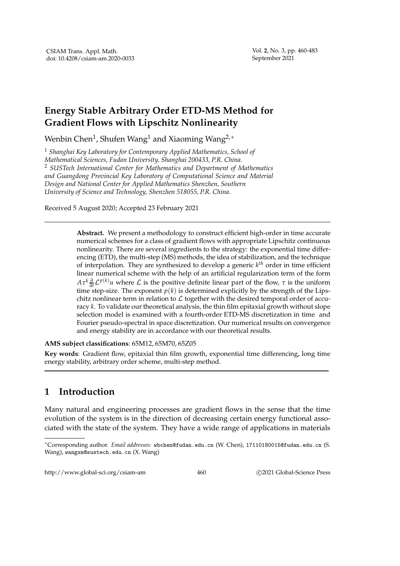## **Energy Stable Arbitrary Order ETD-MS Method for Gradient Flows with Lipschitz Nonlinearity**

Wenbin Chen $^1$ , Shufen Wang $^1$  and Xiaoming Wang $^{2,\ast}$ 

<sup>1</sup> *Shanghai Key Laboratory for Contemporary Applied Mathematics, School of Mathematical Sciences, Fudan University, Shanghai 200433, P.R. China.* <sup>2</sup> *SUSTech International Center for Mathematics and Department of Mathematics and Guangdong Provincial Key Laboratory of Computational Science and Material Design and National Center for Applied Mathematics Shenzhen, Southern University of Science and Technology, Shenzhen 518055, P.R. China.*

Received 5 August 2020; Accepted 23 February 2021

**Abstract.** We present a methodology to construct efficient high-order in time accurate numerical schemes for a class of gradient flows with appropriate Lipschitz continuous nonlinearity. There are several ingredients to the strategy: the exponential time differencing (ETD), the multi-step (MS) methods, the idea of stabilization, and the technique of interpolation. They are synthesized to develop a generic *k th* order in time efficient linear numerical scheme with the help of an artificial regularization term of the form  $A\tau^k\frac{\partial}{\partial t}L^{p(k)}u$  where L is the positive definite linear part of the flow,  $\tau$  is the uniform time step-size. The exponent  $p(k)$  is determined explicitly by the strength of the Lipschitz nonlinear term in relation to  $\mathcal L$  together with the desired temporal order of accuracy *k*. To validate our theoretical analysis, the thin film epitaxial growth without slope selection model is examined with a fourth-order ETD-MS discretization in time and Fourier pseudo-spectral in space discretization. Our numerical results on convergence and energy stability are in accordance with our theoretical results.

**AMS subject classifications**: 65M12, 65M70, 65Z05

**Key words**: Gradient flow, epitaxial thin film growth, exponential time differencing, long time energy stability, arbitrary order scheme, multi-step method.

## **1 Introduction**

Many natural and engineering processes are gradient flows in the sense that the time evolution of the system is in the direction of decreasing certain energy functional associated with the state of the system. They have a wide range of applications in materials

http://www.global-sci.org/csiam-am 460 c 2021 Global-Science Press

<sup>∗</sup>Corresponding author. *Email addresses:* wbchen@fudan.edu.cn (W. Chen), 17110180015@fudan.edu.cn (S. Wang), wangxm@sustech.edu.cn (X. Wang)